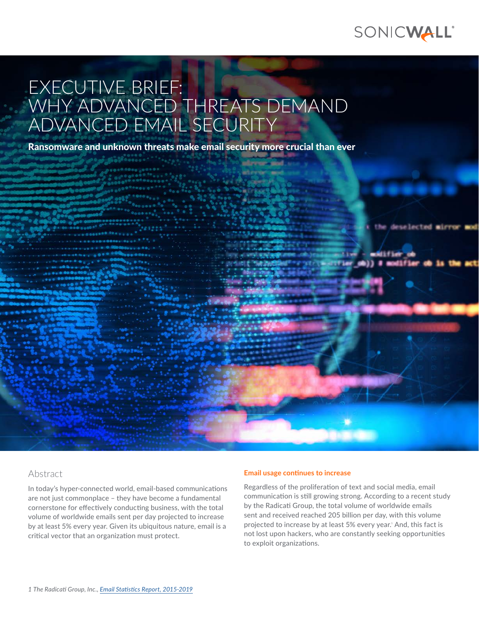

deselected mirror mod

# EXECUTIVE BRIEF: WHY ADVANCED THREATS DEMAND ADVANCED EMAIL SECURITY

Ransomware and unknown threats make email security more crucial than ever



In today's hyper-connected world, email-based communications are not just commonplace – they have become a fundamental cornerstone for effectively conducting business, with the total volume of worldwide emails sent per day projected to increase by at least 5% every year. Given its ubiquitous nature, email is a critical vector that an organization must protect.

#### **Email usage continues to increase**

Regardless of the proliferation of text and social media, email communication is still growing strong. According to a recent study by the Radicati Group, the total volume of worldwide emails sent and received reached 205 billion per day, with this volume projected to increase by at least 5% every year.<del>'</del> And, this fact is not lost upon hackers, who are constantly seeking opportunities to exploit organizations.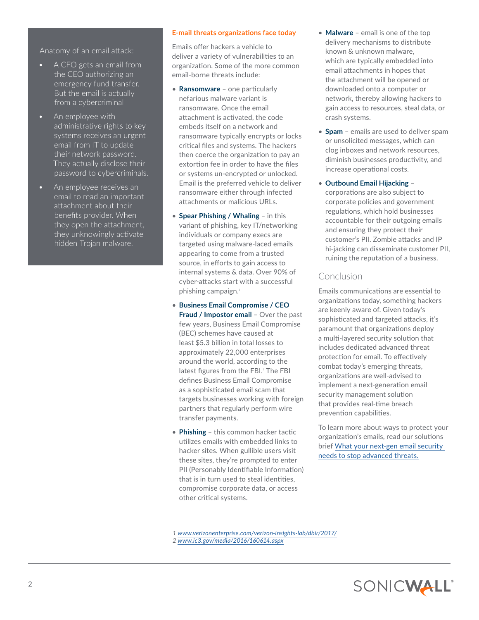Anatomy of an email attack:

- A CFO gets an email from the CEO authorizing an emergency fund transfer. But the email is actually from a cybercriminal
- An employee with administrative rights to key systems receives an urgent email from IT to update their network password. They actually disclose their password to cybercriminals.
- An employee receives an email to read an important attachment about their benefits provider. When they open the attachment, they unknowingly activate hidden Trojan malware.

## **E-mail threats organizations face today**

Emails offer hackers a vehicle to deliver a variety of vulnerabilities to an organization. Some of the more common email-borne threats include:

- **Ransomware** one particularly nefarious malware variant is ransomware. Once the email attachment is activated, the code embeds itself on a network and ransomware typically encrypts or locks critical files and systems. The hackers then coerce the organization to pay an extortion fee in order to have the files or systems un-encrypted or unlocked. Email is the preferred vehicle to deliver ransomware either through infected attachments or malicious URLs.
- **Spear Phishing / Whaling** in this variant of phishing, key IT/networking individuals or company execs are targeted using malware-laced emails appearing to come from a trusted source, in efforts to gain access to internal systems & data. Over 90% of cyber-attacks start with a successful phishing campaign.<sup>1</sup>
- **Business Email Compromise / CEO Fraud / Impostor email** – Over the past few years, Business Email Compromise (BEC) schemes have caused at least \$5.3 billion in total losses to approximately 22,000 enterprises around the world, according to the latest figures from the FBI.<sup>2</sup> The FBI defines Business Email Compromise as a sophisticated email scam that targets businesses working with foreign partners that regularly perform wire transfer payments.
- **Phishing** this common hacker tactic utilizes emails with embedded links to hacker sites. When gullible users visit these sites, they're prompted to enter PII (Personably Identifiable Information) that is in turn used to steal identities, compromise corporate data, or access other critical systems.
- **Malware** email is one of the top delivery mechanisms to distribute known & unknown malware, which are typically embedded into email attachments in hopes that the attachment will be opened or downloaded onto a computer or network, thereby allowing hackers to gain access to resources, steal data, or crash systems.
- **Spam** emails are used to deliver spam or unsolicited messages, which can clog inboxes and network resources, diminish businesses productivity, and increase operational costs.
- **Outbound Email Hijacking** corporations are also subject to corporate policies and government regulations, which hold businesses accountable for their outgoing emails and ensuring they protect their customer's PII. Zombie attacks and IP hi-jacking can disseminate customer PII, ruining the reputation of a business.

## **Conclusion**

Emails communications are essential to organizations today, something hackers are keenly aware of. Given today's sophisticated and targeted attacks, it's paramount that organizations deploy a multi-layered security solution that includes dedicated advanced threat protection for email. To effectively combat today's emerging threats, organizations are well-advised to implement a next-generation email security management solution that provides real-time breach prevention capabilities.

To learn more about ways to protect your organization's emails, read our solutions brief [What your next-gen email security](https://www.sonicwall.com/techbrief/solutions-brief-what-your-nextgen-email-security-needs-to-stop-advance8122564/)  [needs to stop advanced threats.](https://www.sonicwall.com/techbrief/solutions-brief-what-your-nextgen-email-security-needs-to-stop-advance8122564/)

- *1 [www.verizonenterprise.com/verizon-insights-lab/dbir/2017/](http://www.verizonenterprise.com/verizon-insights-lab/dbir/2017/)*
- *2 [www.ic3.gov/media/2016/160614.aspx](https://www.ic3.gov/media/2016/160614.aspx)*